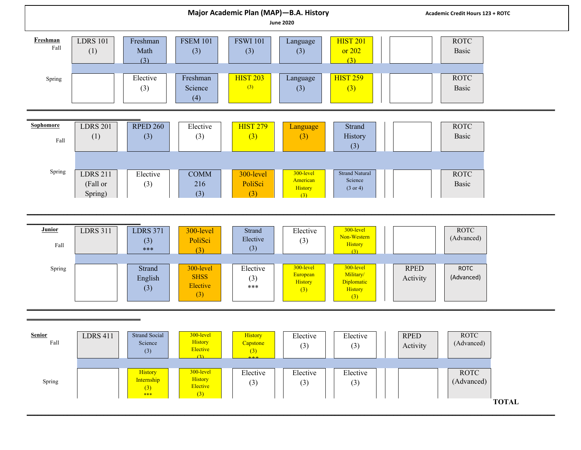| Major Academic Plan (MAP)-B.A. History<br><b>June 2020</b> |                                        |                                            |                                             |                             |                                         | Academic Credit Hours 123 + ROTC                        |                                                      |
|------------------------------------------------------------|----------------------------------------|--------------------------------------------|---------------------------------------------|-----------------------------|-----------------------------------------|---------------------------------------------------------|------------------------------------------------------|
| Freshman<br>Fall                                           | <b>LDRS 101</b><br>(1)                 | Freshman<br>Math<br>(3)                    | <b>FSEM 101</b><br>(3)                      | <b>FSWI 101</b><br>(3)      | Language<br>(3)                         | <b>HIST 201</b><br>or 202<br>(3)                        | <b>ROTC</b><br>Basic                                 |
| Spring                                                     |                                        | Elective<br>(3)                            | Freshman<br>Science<br>(4)                  | <b>HIST 203</b><br>(3)      | Language<br>(3)                         | <b>HIST 259</b><br>(3)                                  | <b>ROTC</b><br>Basic                                 |
|                                                            |                                        |                                            |                                             |                             |                                         |                                                         |                                                      |
| Sophomore<br>$_{\rm Fall}$                                 | <b>LDRS 201</b><br>(1)                 | <b>RPED 260</b><br>(3)                     | Elective<br>(3)                             | <b>HIST 279</b><br>(3)      | Language<br>(3)                         | Strand<br>History<br>(3)                                | <b>ROTC</b><br>Basic                                 |
|                                                            |                                        |                                            |                                             |                             |                                         |                                                         |                                                      |
| Spring                                                     | <b>LDRS 211</b><br>(Fall or<br>Spring) | Elective<br>(3)                            | COMM<br>216<br>(3)                          | 300-level<br>PoliSci<br>(3) | 300-level<br>American<br>History<br>(3) | <b>Strand Natural</b><br>Science<br>$(3 \text{ or } 4)$ | <b>ROTC</b><br>Basic                                 |
|                                                            |                                        |                                            |                                             |                             |                                         |                                                         |                                                      |
|                                                            |                                        |                                            |                                             |                             |                                         |                                                         |                                                      |
| Junior<br>Fall                                             | <b>LDRS 311</b>                        | <b>LDRS 371</b><br>(3)<br>$***$            | 300-level<br>PoliSci<br>(3)                 | Strand<br>Elective<br>(3)   | Elective<br>(3)                         | 300-level<br>Non-Western<br>History<br>(3)              | <b>ROTC</b><br>(Advanced)                            |
| Spring                                                     |                                        | Strand<br>English<br>(3)                   | 300-level<br><b>SHSS</b><br>Elective<br>(3) | Elective<br>(3)<br>***      | 300-level<br>European<br>History<br>(3) | 300-level<br>Military/<br>Diplomatic<br>History         | <b>RPED</b><br><b>ROTC</b><br>(Advanced)<br>Activity |
|                                                            |                                        |                                            |                                             |                             |                                         | (3)                                                     |                                                      |
|                                                            |                                        |                                            |                                             |                             |                                         |                                                         |                                                      |
| <b>Senior</b><br>$_{\rm Fall}$                             | <b>LDRS</b> 411                        | <b>Strand Social</b><br>Science<br>(3)     | $300$ -level<br>History<br>Elective<br>(3)  | History<br>Capstone<br>(3)  | Elective<br>(3)                         | Elective<br>(3)                                         | <b>RPED</b><br>ROTC<br>(Advanced)<br>Activity        |
| Spring                                                     |                                        | History<br>Internship<br>$\frac{(3)}{***}$ | 300-level<br>History<br>Elective<br>(3)     | Elective<br>(3)             | Elective<br>(3)                         | Elective<br>(3)                                         | <b>ROTC</b><br>(Advanced)                            |
|                                                            |                                        |                                            |                                             |                             |                                         |                                                         | <b>TOTAL</b>                                         |